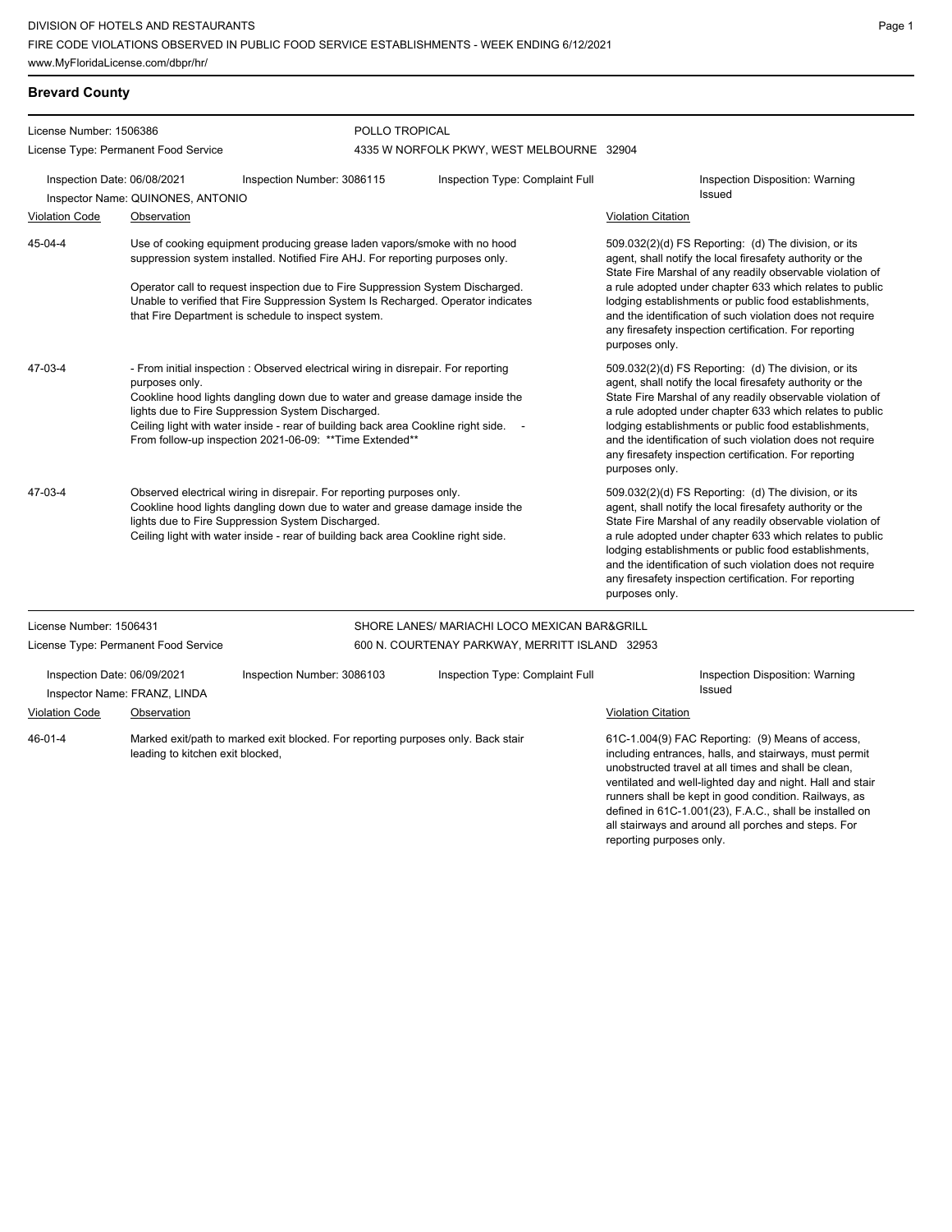**Brevard County**

all stairways and around all porches and steps. For

reporting purposes only.

Page 1

| License Number: 1506386                                     |                                                                                                                                                                                                                                                                                                                                                                                            | POLLO TROPICAL                                                                                                                                                                                                                               |                                                                                                                                                                                                                                                                                                                                                                                                                                              |                                                                                                                                                                                                                                                                                                                                                                                                                                              |                                                                                                                                                                                                                                                                                                                                                                                                                            |  |
|-------------------------------------------------------------|--------------------------------------------------------------------------------------------------------------------------------------------------------------------------------------------------------------------------------------------------------------------------------------------------------------------------------------------------------------------------------------------|----------------------------------------------------------------------------------------------------------------------------------------------------------------------------------------------------------------------------------------------|----------------------------------------------------------------------------------------------------------------------------------------------------------------------------------------------------------------------------------------------------------------------------------------------------------------------------------------------------------------------------------------------------------------------------------------------|----------------------------------------------------------------------------------------------------------------------------------------------------------------------------------------------------------------------------------------------------------------------------------------------------------------------------------------------------------------------------------------------------------------------------------------------|----------------------------------------------------------------------------------------------------------------------------------------------------------------------------------------------------------------------------------------------------------------------------------------------------------------------------------------------------------------------------------------------------------------------------|--|
|                                                             | License Type: Permanent Food Service                                                                                                                                                                                                                                                                                                                                                       |                                                                                                                                                                                                                                              | 4335 W NORFOLK PKWY, WEST MELBOURNE 32904                                                                                                                                                                                                                                                                                                                                                                                                    |                                                                                                                                                                                                                                                                                                                                                                                                                                              |                                                                                                                                                                                                                                                                                                                                                                                                                            |  |
| Inspection Date: 06/08/2021<br><b>Violation Code</b>        | Inspector Name: QUINONES, ANTONIO<br>Observation                                                                                                                                                                                                                                                                                                                                           | Inspection Number: 3086115                                                                                                                                                                                                                   | Inspection Type: Complaint Full                                                                                                                                                                                                                                                                                                                                                                                                              | <b>Violation Citation</b>                                                                                                                                                                                                                                                                                                                                                                                                                    | Inspection Disposition: Warning<br>Issued                                                                                                                                                                                                                                                                                                                                                                                  |  |
|                                                             |                                                                                                                                                                                                                                                                                                                                                                                            |                                                                                                                                                                                                                                              |                                                                                                                                                                                                                                                                                                                                                                                                                                              |                                                                                                                                                                                                                                                                                                                                                                                                                                              |                                                                                                                                                                                                                                                                                                                                                                                                                            |  |
| 45-04-4                                                     |                                                                                                                                                                                                                                                                                                                                                                                            | Use of cooking equipment producing grease laden vapors/smoke with no hood<br>suppression system installed. Notified Fire AHJ. For reporting purposes only.<br>Operator call to request inspection due to Fire Suppression System Discharged. | 509.032(2)(d) FS Reporting: (d) The division, or its<br>agent, shall notify the local firesafety authority or the<br>State Fire Marshal of any readily observable violation of<br>a rule adopted under chapter 633 which relates to public<br>lodging establishments or public food establishments,<br>and the identification of such violation does not require<br>any firesafety inspection certification. For reporting<br>purposes only. |                                                                                                                                                                                                                                                                                                                                                                                                                                              |                                                                                                                                                                                                                                                                                                                                                                                                                            |  |
|                                                             |                                                                                                                                                                                                                                                                                                                                                                                            | Unable to verified that Fire Suppression System Is Recharged. Operator indicates<br>that Fire Department is schedule to inspect system.                                                                                                      |                                                                                                                                                                                                                                                                                                                                                                                                                                              |                                                                                                                                                                                                                                                                                                                                                                                                                                              |                                                                                                                                                                                                                                                                                                                                                                                                                            |  |
| 47-03-4                                                     | - From initial inspection : Observed electrical wiring in disrepair. For reporting<br>purposes only.<br>Cookline hood lights dangling down due to water and grease damage inside the<br>lights due to Fire Suppression System Discharged.<br>Ceiling light with water inside - rear of building back area Cookline right side.<br>From follow-up inspection 2021-06-09: ** Time Extended** |                                                                                                                                                                                                                                              |                                                                                                                                                                                                                                                                                                                                                                                                                                              | 509.032(2)(d) FS Reporting: (d) The division, or its<br>agent, shall notify the local firesafety authority or the<br>State Fire Marshal of any readily observable violation of<br>a rule adopted under chapter 633 which relates to public<br>lodging establishments or public food establishments,<br>and the identification of such violation does not require<br>any firesafety inspection certification. For reporting<br>purposes only. |                                                                                                                                                                                                                                                                                                                                                                                                                            |  |
| 47-03-4                                                     | Observed electrical wiring in disrepair. For reporting purposes only.<br>Cookline hood lights dangling down due to water and grease damage inside the<br>lights due to Fire Suppression System Discharged.<br>Ceiling light with water inside - rear of building back area Cookline right side.                                                                                            |                                                                                                                                                                                                                                              |                                                                                                                                                                                                                                                                                                                                                                                                                                              | purposes only.                                                                                                                                                                                                                                                                                                                                                                                                                               | 509.032(2)(d) FS Reporting: (d) The division, or its<br>agent, shall notify the local firesafety authority or the<br>State Fire Marshal of any readily observable violation of<br>a rule adopted under chapter 633 which relates to public<br>lodging establishments or public food establishments,<br>and the identification of such violation does not require<br>any firesafety inspection certification. For reporting |  |
| License Number: 1506431                                     |                                                                                                                                                                                                                                                                                                                                                                                            |                                                                                                                                                                                                                                              | SHORE LANES/ MARIACHI LOCO MEXICAN BAR&GRILL                                                                                                                                                                                                                                                                                                                                                                                                 |                                                                                                                                                                                                                                                                                                                                                                                                                                              |                                                                                                                                                                                                                                                                                                                                                                                                                            |  |
|                                                             | License Type: Permanent Food Service                                                                                                                                                                                                                                                                                                                                                       |                                                                                                                                                                                                                                              | 600 N. COURTENAY PARKWAY, MERRITT ISLAND 32953                                                                                                                                                                                                                                                                                                                                                                                               |                                                                                                                                                                                                                                                                                                                                                                                                                                              |                                                                                                                                                                                                                                                                                                                                                                                                                            |  |
| Inspection Date: 06/09/2021<br>Inspector Name: FRANZ, LINDA |                                                                                                                                                                                                                                                                                                                                                                                            | Inspection Number: 3086103                                                                                                                                                                                                                   | Inspection Type: Complaint Full                                                                                                                                                                                                                                                                                                                                                                                                              |                                                                                                                                                                                                                                                                                                                                                                                                                                              | Inspection Disposition: Warning<br>Issued                                                                                                                                                                                                                                                                                                                                                                                  |  |
| <b>Violation Code</b>                                       | Observation                                                                                                                                                                                                                                                                                                                                                                                |                                                                                                                                                                                                                                              |                                                                                                                                                                                                                                                                                                                                                                                                                                              | <b>Violation Citation</b>                                                                                                                                                                                                                                                                                                                                                                                                                    |                                                                                                                                                                                                                                                                                                                                                                                                                            |  |
| 46-01-4<br>leading to kitchen exit blocked,                 |                                                                                                                                                                                                                                                                                                                                                                                            | Marked exit/path to marked exit blocked. For reporting purposes only. Back stair                                                                                                                                                             |                                                                                                                                                                                                                                                                                                                                                                                                                                              |                                                                                                                                                                                                                                                                                                                                                                                                                                              | 61C-1.004(9) FAC Reporting: (9) Means of access,<br>including entrances, halls, and stairways, must permit<br>unobstructed travel at all times and shall be clean,<br>ventilated and well-lighted day and night. Hall and stair<br>runners shall be kept in good condition. Railways, as<br>defined in 61C-1.001(23), F.A.C., shall be installed on                                                                        |  |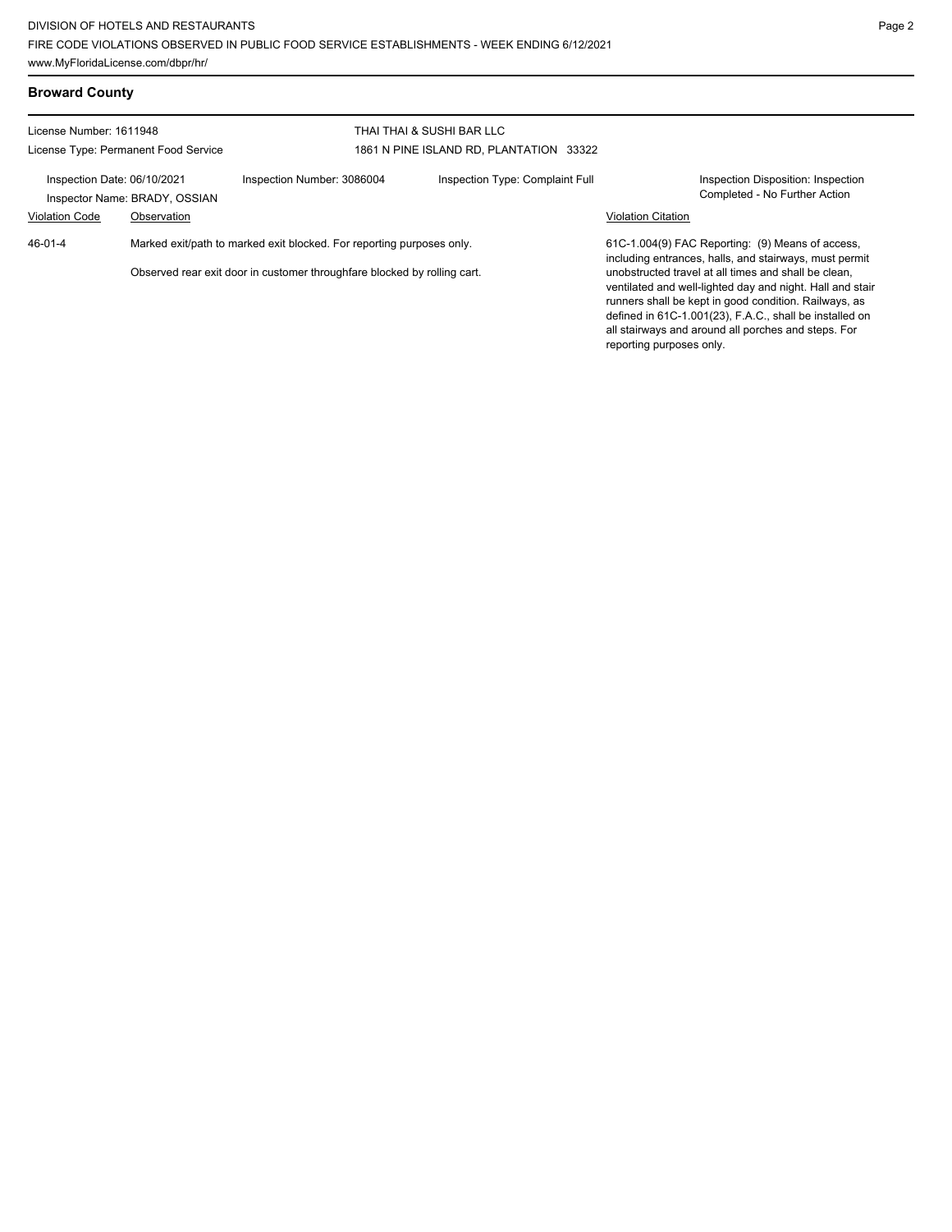| <b>Broward County</b>                                                    |                                                                       |                                         |                                 |                                                                                                                                                                                                                                                                                                                          |                                                                     |
|--------------------------------------------------------------------------|-----------------------------------------------------------------------|-----------------------------------------|---------------------------------|--------------------------------------------------------------------------------------------------------------------------------------------------------------------------------------------------------------------------------------------------------------------------------------------------------------------------|---------------------------------------------------------------------|
| License Number: 1611948                                                  |                                                                       | THAI THAI & SUSHI BAR LLC               |                                 |                                                                                                                                                                                                                                                                                                                          |                                                                     |
| License Type: Permanent Food Service                                     |                                                                       | 1861 N PINE ISLAND RD, PLANTATION 33322 |                                 |                                                                                                                                                                                                                                                                                                                          |                                                                     |
| Inspection Date: 06/10/2021<br>Inspector Name: BRADY, OSSIAN             |                                                                       | Inspection Number: 3086004              | Inspection Type: Complaint Full |                                                                                                                                                                                                                                                                                                                          | Inspection Disposition: Inspection<br>Completed - No Further Action |
| <b>Violation Code</b>                                                    | Observation                                                           |                                         |                                 | <b>Violation Citation</b>                                                                                                                                                                                                                                                                                                |                                                                     |
| 46-01-4                                                                  | Marked exit/path to marked exit blocked. For reporting purposes only. |                                         |                                 | 61C-1.004(9) FAC Reporting: (9) Means of access,<br>including entrances, halls, and stairways, must permit                                                                                                                                                                                                               |                                                                     |
| Observed rear exit door in customer throughfare blocked by rolling cart. |                                                                       |                                         |                                 | unobstructed travel at all times and shall be clean.<br>ventilated and well-lighted day and night. Hall and stair<br>runners shall be kept in good condition. Railways, as<br>defined in 61C-1.001(23), F.A.C., shall be installed on<br>all stairways and around all porches and steps. For<br>reporting purposes only. |                                                                     |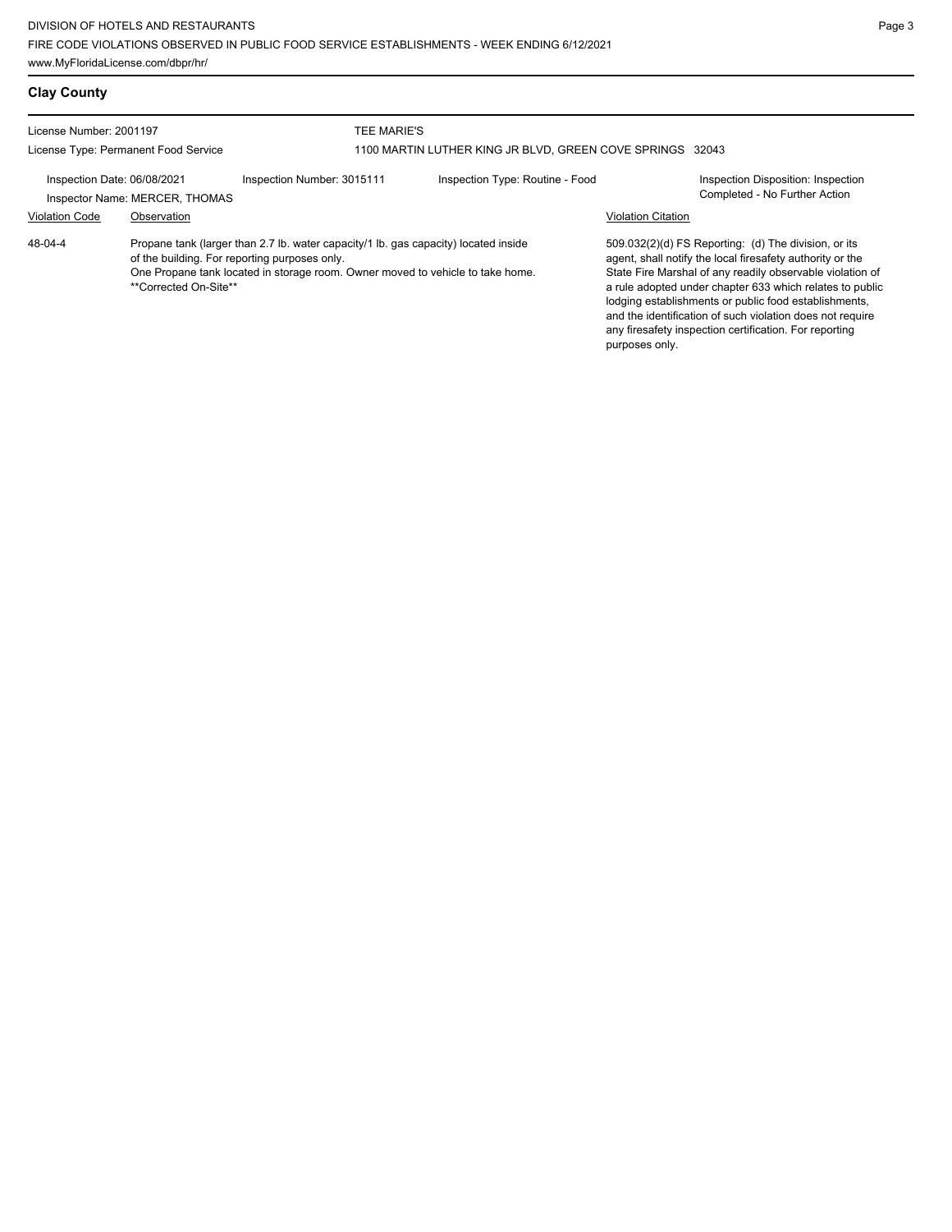| JBLIC FOOD SERVICE ESTABLISHMENTS - WEEK ENDING 6/12/2021 |  |
|-----------------------------------------------------------|--|
|                                                           |  |

Page 3

| <b>Clay County</b>                                                                                                                                                                                                                                               |                                               |                            |                                                                          |                           |                                                                                                                                                                                                                                                                                                                                                                                                                            |  |
|------------------------------------------------------------------------------------------------------------------------------------------------------------------------------------------------------------------------------------------------------------------|-----------------------------------------------|----------------------------|--------------------------------------------------------------------------|---------------------------|----------------------------------------------------------------------------------------------------------------------------------------------------------------------------------------------------------------------------------------------------------------------------------------------------------------------------------------------------------------------------------------------------------------------------|--|
| License Number: 2001197<br>License Type: Permanent Food Service                                                                                                                                                                                                  |                                               |                            | TEE MARIE'S<br>1100 MARTIN LUTHER KING JR BLVD, GREEN COVE SPRINGS 32043 |                           |                                                                                                                                                                                                                                                                                                                                                                                                                            |  |
| Inspection Date: 06/08/2021<br><b>Violation Code</b>                                                                                                                                                                                                             | Inspector Name: MERCER, THOMAS<br>Observation | Inspection Number: 3015111 | Inspection Type: Routine - Food                                          | <b>Violation Citation</b> | Inspection Disposition: Inspection<br>Completed - No Further Action                                                                                                                                                                                                                                                                                                                                                        |  |
| $48 - 04 - 4$<br>Propane tank (larger than 2.7 lb. water capacity/1 lb. gas capacity) located inside<br>of the building. For reporting purposes only.<br>One Propane tank located in storage room. Owner moved to vehicle to take home.<br>**Corrected On-Site** |                                               |                            |                                                                          | purposes only.            | 509.032(2)(d) FS Reporting: (d) The division, or its<br>agent, shall notify the local firesafety authority or the<br>State Fire Marshal of any readily observable violation of<br>a rule adopted under chapter 633 which relates to public<br>lodging establishments or public food establishments,<br>and the identification of such violation does not require<br>any firesafety inspection certification. For reporting |  |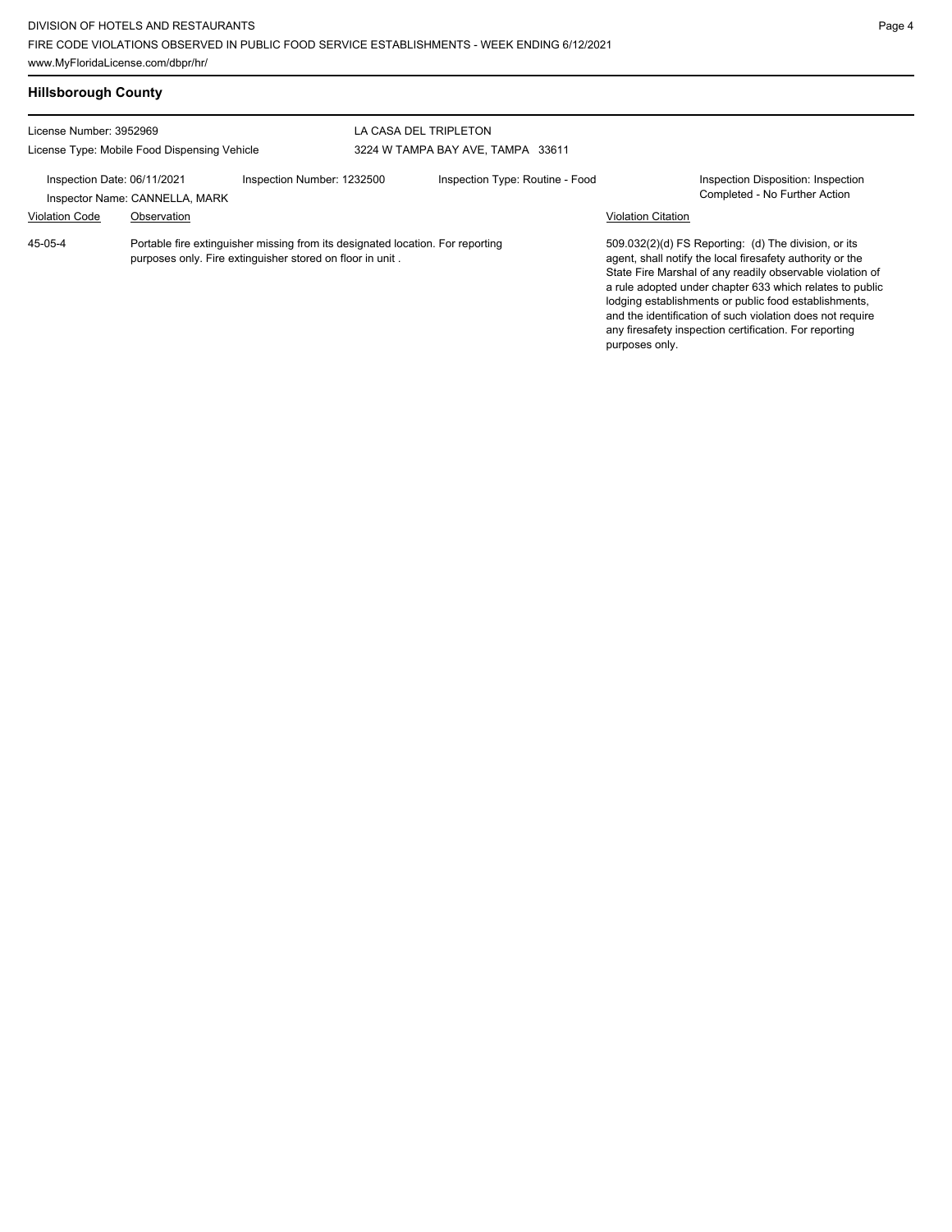Violation Code Observation Violation Citation

Portable fire extinguisher missing from its designated location. For reporting purposes only. Fire extinguisher stored on floor in unit . 45-05-4

509.032(2)(d) FS Reporting: (d) The division, or its agent, shall notify the local firesafety authority or the State Fire Marshal of any readily observable violation of a rule adopted under chapter 633 which relates to public lodging establishments or public food establishments, and the identification of such violation does not require any firesafety inspection certification. For reporting purposes only.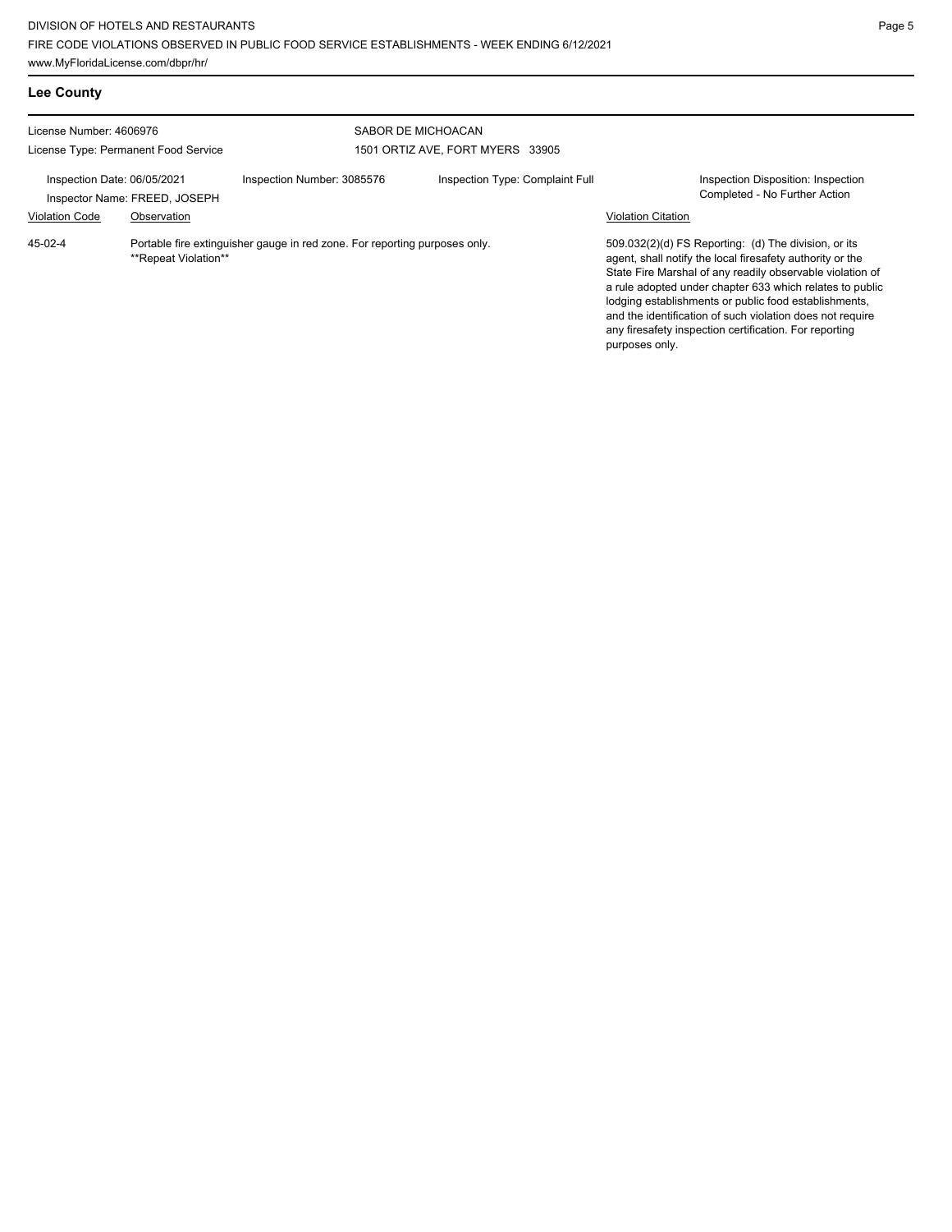**Lee County**

| License Number: 4606976                                      |                                                                                                    |                            | SABOR DE MICHOACAN               |                                                                                                                                                                                                                                                                                                                                                                                                                                              |
|--------------------------------------------------------------|----------------------------------------------------------------------------------------------------|----------------------------|----------------------------------|----------------------------------------------------------------------------------------------------------------------------------------------------------------------------------------------------------------------------------------------------------------------------------------------------------------------------------------------------------------------------------------------------------------------------------------------|
| License Type: Permanent Food Service                         |                                                                                                    |                            | 1501 ORTIZ AVE, FORT MYERS 33905 |                                                                                                                                                                                                                                                                                                                                                                                                                                              |
| Inspection Date: 06/05/2021<br>Inspector Name: FREED, JOSEPH |                                                                                                    | Inspection Number: 3085576 | Inspection Type: Complaint Full  | Inspection Disposition: Inspection<br>Completed - No Further Action                                                                                                                                                                                                                                                                                                                                                                          |
| <b>Violation Code</b>                                        | Observation                                                                                        |                            |                                  | <b>Violation Citation</b>                                                                                                                                                                                                                                                                                                                                                                                                                    |
| 45-02-4                                                      | Portable fire extinguisher gauge in red zone. For reporting purposes only.<br>**Repeat Violation** |                            |                                  | 509.032(2)(d) FS Reporting: (d) The division, or its<br>agent, shall notify the local firesafety authority or the<br>State Fire Marshal of any readily observable violation of<br>a rule adopted under chapter 633 which relates to public<br>lodging establishments or public food establishments,<br>and the identification of such violation does not require<br>any firesafety inspection certification. For reporting<br>purposes only. |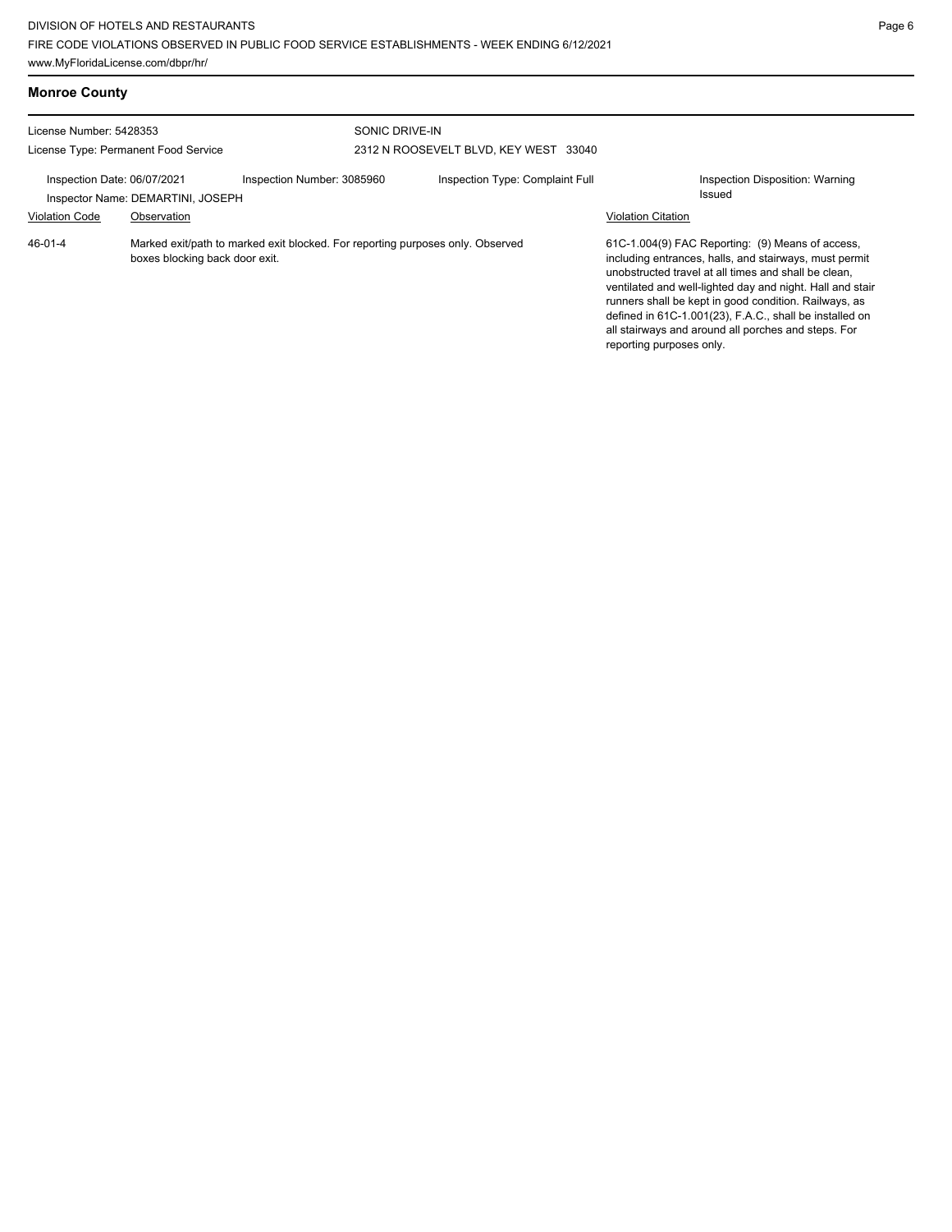| <b>Monroe County</b>                                                                                                              |                                                  |                            |                                                         |                                 |                                                                                                                                                                                                                                                                                                                                                                                                                                        |                                           |
|-----------------------------------------------------------------------------------------------------------------------------------|--------------------------------------------------|----------------------------|---------------------------------------------------------|---------------------------------|----------------------------------------------------------------------------------------------------------------------------------------------------------------------------------------------------------------------------------------------------------------------------------------------------------------------------------------------------------------------------------------------------------------------------------------|-------------------------------------------|
| License Number: 5428353<br>License Type: Permanent Food Service                                                                   |                                                  |                            | SONIC DRIVE-IN<br>2312 N ROOSEVELT BLVD, KEY WEST 33040 |                                 |                                                                                                                                                                                                                                                                                                                                                                                                                                        |                                           |
| Inspection Date: 06/07/2021<br><b>Violation Code</b>                                                                              | Inspector Name: DEMARTINI, JOSEPH<br>Observation | Inspection Number: 3085960 |                                                         | Inspection Type: Complaint Full | <b>Violation Citation</b>                                                                                                                                                                                                                                                                                                                                                                                                              | Inspection Disposition: Warning<br>Issued |
| $46 - 01 - 4$<br>Marked exit/path to marked exit blocked. For reporting purposes only. Observed<br>boxes blocking back door exit. |                                                  |                            |                                                         |                                 | 61C-1.004(9) FAC Reporting: (9) Means of access,<br>including entrances, halls, and stairways, must permit<br>unobstructed travel at all times and shall be clean,<br>ventilated and well-lighted day and night. Hall and stair<br>runners shall be kept in good condition. Railways, as<br>defined in 61C-1.001(23), F.A.C., shall be installed on<br>all stairways and around all porches and steps. For<br>reporting purposes only. |                                           |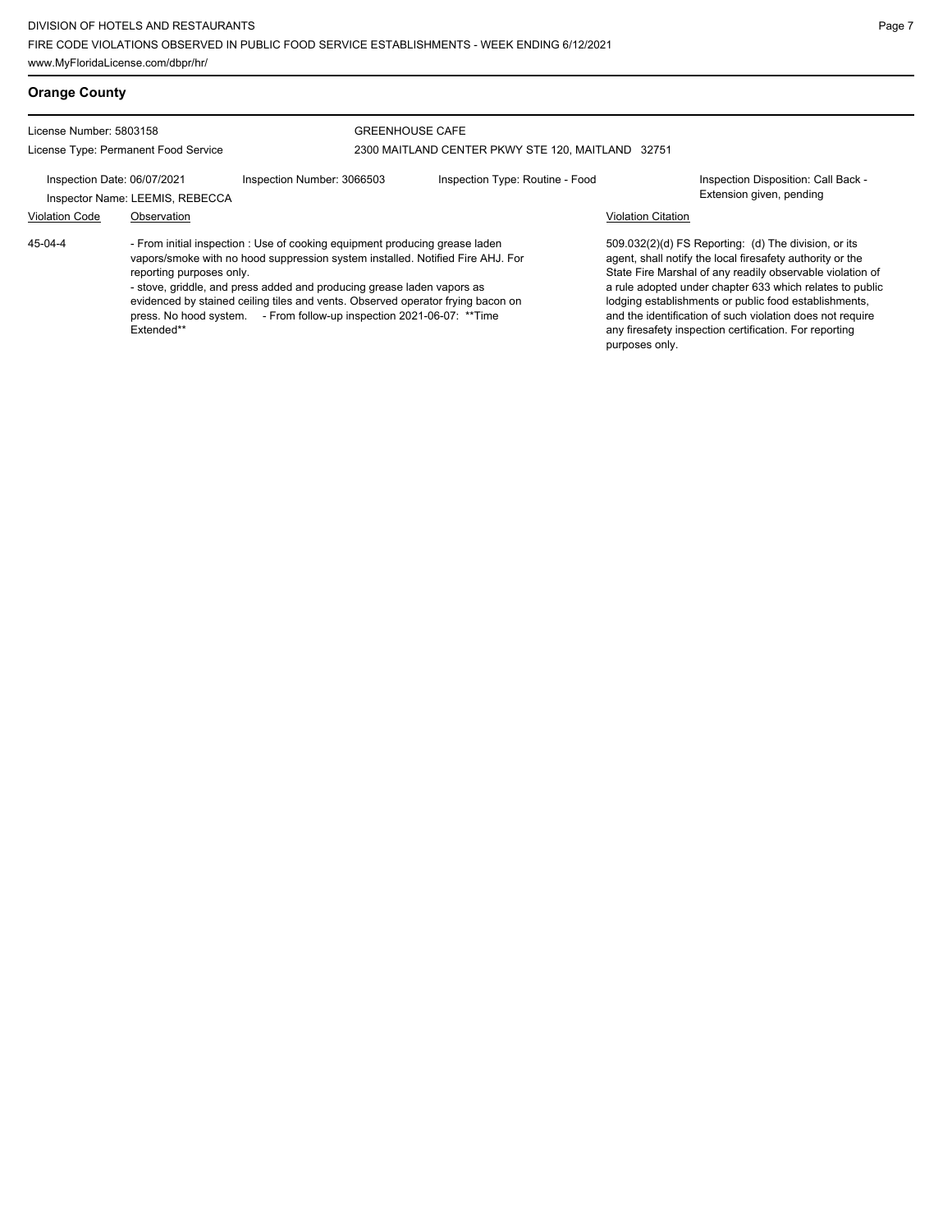License Number: 5803158

License Type: Permanent Food Service

## GREENHOUSE CAFE

2300 MAITLAND CENTER PKWY STE 120, MAITLAND 32751

Inspection Date: 06/07/2021 Inspection Number: 3066503 Inspection Type: Routine - Food Inspection Disposition: Call Back - Inspector Name: LEEMIS, REBECCA **Inspector Name: LEEMIS, REBECCA** 

## Violation Code Observation Violation Citation

45-04-4

- From initial inspection : Use of cooking equipment producing grease laden vapors/smoke with no hood suppression system installed. Notified Fire AHJ. For reporting purposes only. - stove, griddle, and press added and producing grease laden vapors as

evidenced by stained ceiling tiles and vents. Observed operator frying bacon on press. No hood system. - From follow-up inspection 2021-06-07: \*\*Time Extended\*\*

509.032(2)(d) FS Reporting: (d) The division, or its agent, shall notify the local firesafety authority or the State Fire Marshal of any readily observable violation of a rule adopted under chapter 633 which relates to public lodging establishments or public food establishments, and the identification of such violation does not require any firesafety inspection certification. For reporting purposes only.